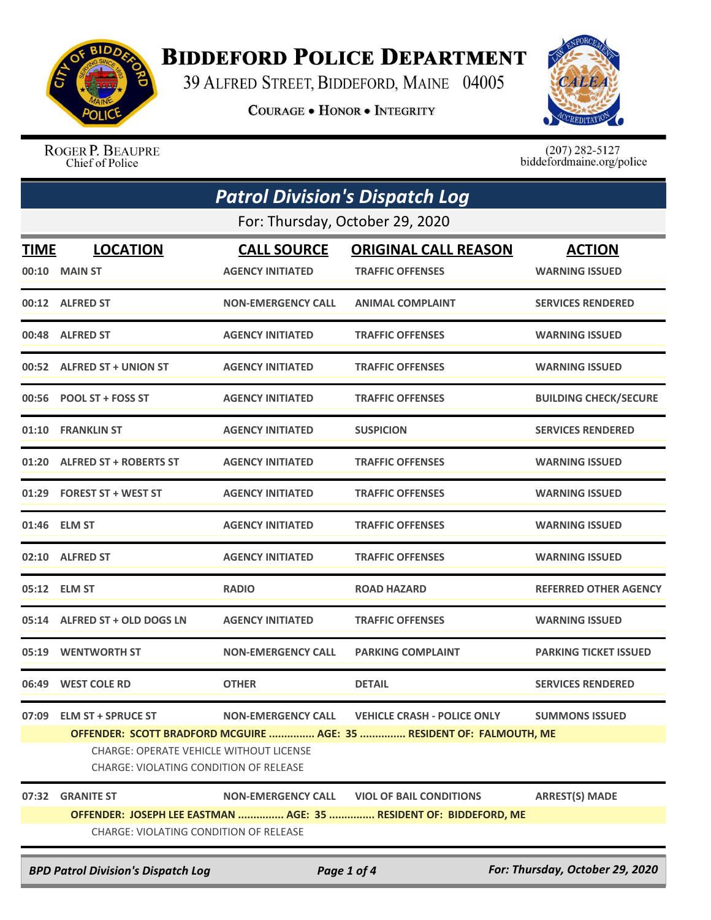

## **BIDDEFORD POLICE DEPARTMENT**

39 ALFRED STREET, BIDDEFORD, MAINE 04005

**COURAGE . HONOR . INTEGRITY** 



ROGER P. BEAUPRE Chief of Police

 $(207)$  282-5127<br>biddefordmaine.org/police

| <b>Patrol Division's Dispatch Log</b>                                                       |                                                                                                                                                                                                                                                                                                 |                                               |                                                                                                     |                                        |  |  |
|---------------------------------------------------------------------------------------------|-------------------------------------------------------------------------------------------------------------------------------------------------------------------------------------------------------------------------------------------------------------------------------------------------|-----------------------------------------------|-----------------------------------------------------------------------------------------------------|----------------------------------------|--|--|
|                                                                                             | For: Thursday, October 29, 2020                                                                                                                                                                                                                                                                 |                                               |                                                                                                     |                                        |  |  |
| <b>TIME</b><br>00:10                                                                        | <b>LOCATION</b><br><b>MAIN ST</b>                                                                                                                                                                                                                                                               | <b>CALL SOURCE</b><br><b>AGENCY INITIATED</b> | <b>ORIGINAL CALL REASON</b><br><b>TRAFFIC OFFENSES</b>                                              | <b>ACTION</b><br><b>WARNING ISSUED</b> |  |  |
|                                                                                             | 00:12 ALFRED ST                                                                                                                                                                                                                                                                                 | <b>NON-EMERGENCY CALL</b>                     | <b>ANIMAL COMPLAINT</b>                                                                             | <b>SERVICES RENDERED</b>               |  |  |
|                                                                                             | 00:48 ALFRED ST                                                                                                                                                                                                                                                                                 | <b>AGENCY INITIATED</b>                       | <b>TRAFFIC OFFENSES</b>                                                                             | <b>WARNING ISSUED</b>                  |  |  |
| 00:52                                                                                       | <b>ALFRED ST + UNION ST</b>                                                                                                                                                                                                                                                                     | <b>AGENCY INITIATED</b>                       | <b>TRAFFIC OFFENSES</b>                                                                             | <b>WARNING ISSUED</b>                  |  |  |
|                                                                                             | 00:56 POOL ST + FOSS ST                                                                                                                                                                                                                                                                         | <b>AGENCY INITIATED</b>                       | <b>TRAFFIC OFFENSES</b>                                                                             | <b>BUILDING CHECK/SECURE</b>           |  |  |
| 01:10                                                                                       | <b>FRANKLIN ST</b>                                                                                                                                                                                                                                                                              | <b>AGENCY INITIATED</b>                       | <b>SUSPICION</b>                                                                                    | <b>SERVICES RENDERED</b>               |  |  |
| 01:20                                                                                       | <b>ALFRED ST + ROBERTS ST</b>                                                                                                                                                                                                                                                                   | <b>AGENCY INITIATED</b>                       | <b>TRAFFIC OFFENSES</b>                                                                             | <b>WARNING ISSUED</b>                  |  |  |
| 01:29                                                                                       | <b>FOREST ST + WEST ST</b>                                                                                                                                                                                                                                                                      | <b>AGENCY INITIATED</b>                       | <b>TRAFFIC OFFENSES</b>                                                                             | <b>WARNING ISSUED</b>                  |  |  |
|                                                                                             | 01:46 ELM ST                                                                                                                                                                                                                                                                                    | <b>AGENCY INITIATED</b>                       | <b>TRAFFIC OFFENSES</b>                                                                             | <b>WARNING ISSUED</b>                  |  |  |
|                                                                                             | 02:10 ALFRED ST                                                                                                                                                                                                                                                                                 | <b>AGENCY INITIATED</b>                       | <b>TRAFFIC OFFENSES</b>                                                                             | <b>WARNING ISSUED</b>                  |  |  |
| 05:12                                                                                       | <b>ELM ST</b>                                                                                                                                                                                                                                                                                   | <b>RADIO</b>                                  | <b>ROAD HAZARD</b>                                                                                  | <b>REFERRED OTHER AGENCY</b>           |  |  |
|                                                                                             | 05:14 ALFRED ST + OLD DOGS LN                                                                                                                                                                                                                                                                   | <b>AGENCY INITIATED</b>                       | <b>TRAFFIC OFFENSES</b>                                                                             | <b>WARNING ISSUED</b>                  |  |  |
| 05:19                                                                                       | <b>WENTWORTH ST</b>                                                                                                                                                                                                                                                                             | <b>NON-EMERGENCY CALL</b>                     | <b>PARKING COMPLAINT</b>                                                                            | <b>PARKING TICKET ISSUED</b>           |  |  |
| 06:49                                                                                       | <b>WEST COLE RD</b>                                                                                                                                                                                                                                                                             | <b>OTHER</b>                                  | <b>DETAIL</b>                                                                                       | <b>SERVICES RENDERED</b>               |  |  |
|                                                                                             | 07:09 ELM ST + SPRUCE ST<br><b>NON-EMERGENCY CALL</b><br><b>VEHICLE CRASH - POLICE ONLY</b><br><b>SUMMONS ISSUED</b><br>OFFENDER: SCOTT BRADFORD MCGUIRE  AGE: 35  RESIDENT OF: FALMOUTH, ME<br><b>CHARGE: OPERATE VEHICLE WITHOUT LICENSE</b><br><b>CHARGE: VIOLATING CONDITION OF RELEASE</b> |                                               |                                                                                                     |                                        |  |  |
|                                                                                             | 07:32 GRANITE ST                                                                                                                                                                                                                                                                                | <b>NON-EMERGENCY CALL</b>                     | <b>VIOL OF BAIL CONDITIONS</b><br>OFFENDER: JOSEPH LEE EASTMAN  AGE: 35  RESIDENT OF: BIDDEFORD, ME | <b>ARREST(S) MADE</b>                  |  |  |
|                                                                                             | CHARGE: VIOLATING CONDITION OF RELEASE                                                                                                                                                                                                                                                          |                                               |                                                                                                     |                                        |  |  |
| For: Thursday, October 29, 2020<br><b>BPD Patrol Division's Dispatch Log</b><br>Page 1 of 4 |                                                                                                                                                                                                                                                                                                 |                                               |                                                                                                     |                                        |  |  |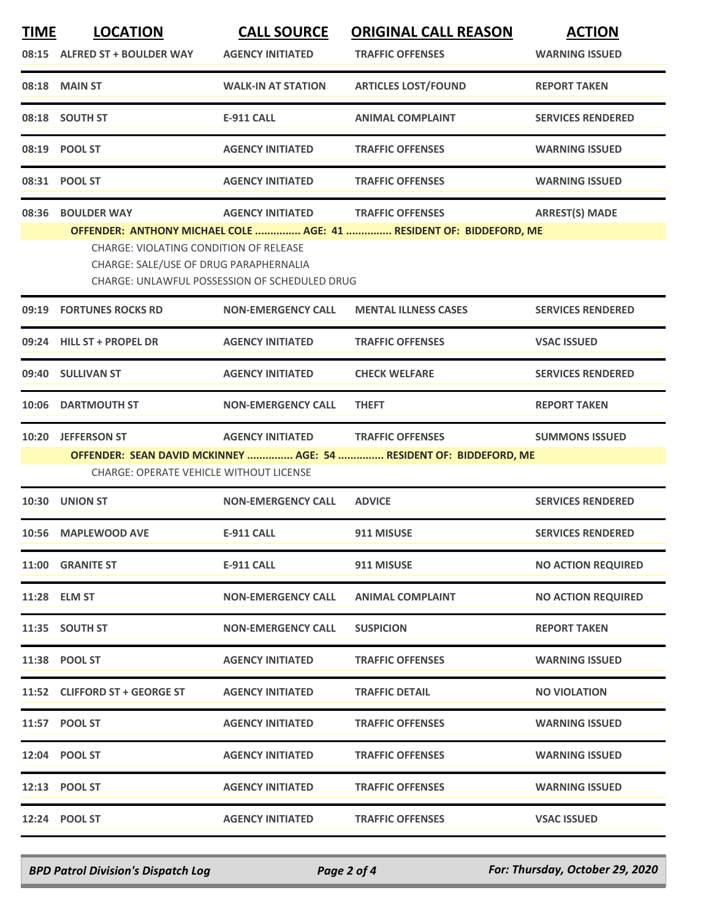| <b>TIME</b> | <b>LOCATION</b>                                                                                                                                                                                                 | <b>CALL SOURCE</b>        | <b>ORIGINAL CALL REASON</b>                                                                   | <b>ACTION</b>             |  |
|-------------|-----------------------------------------------------------------------------------------------------------------------------------------------------------------------------------------------------------------|---------------------------|-----------------------------------------------------------------------------------------------|---------------------------|--|
|             | 08:15 ALFRED ST + BOULDER WAY                                                                                                                                                                                   | <b>AGENCY INITIATED</b>   | <b>TRAFFIC OFFENSES</b>                                                                       | <b>WARNING ISSUED</b>     |  |
|             | 08:18 MAIN ST                                                                                                                                                                                                   | <b>WALK-IN AT STATION</b> | <b>ARTICLES LOST/FOUND</b>                                                                    | <b>REPORT TAKEN</b>       |  |
|             | 08:18 SOUTH ST                                                                                                                                                                                                  | <b>E-911 CALL</b>         | <b>ANIMAL COMPLAINT</b>                                                                       | <b>SERVICES RENDERED</b>  |  |
|             | 08:19 POOL ST                                                                                                                                                                                                   | <b>AGENCY INITIATED</b>   | <b>TRAFFIC OFFENSES</b>                                                                       | <b>WARNING ISSUED</b>     |  |
|             | 08:31 POOL ST                                                                                                                                                                                                   | <b>AGENCY INITIATED</b>   | <b>TRAFFIC OFFENSES</b>                                                                       | <b>WARNING ISSUED</b>     |  |
| 08:36       | <b>BOULDER WAY</b>                                                                                                                                                                                              | <b>AGENCY INITIATED</b>   | <b>TRAFFIC OFFENSES</b>                                                                       | <b>ARREST(S) MADE</b>     |  |
|             | OFFENDER: ANTHONY MICHAEL COLE  AGE: 41  RESIDENT OF: BIDDEFORD, ME<br><b>CHARGE: VIOLATING CONDITION OF RELEASE</b><br>CHARGE: SALE/USE OF DRUG PARAPHERNALIA<br>CHARGE: UNLAWFUL POSSESSION OF SCHEDULED DRUG |                           |                                                                                               |                           |  |
|             | 09:19 FORTUNES ROCKS RD                                                                                                                                                                                         | <b>NON-EMERGENCY CALL</b> | <b>MENTAL ILLNESS CASES</b>                                                                   | <b>SERVICES RENDERED</b>  |  |
|             | 09:24 HILL ST + PROPEL DR                                                                                                                                                                                       | <b>AGENCY INITIATED</b>   | <b>TRAFFIC OFFENSES</b>                                                                       | <b>VSAC ISSUED</b>        |  |
|             | 09:40 SULLIVAN ST                                                                                                                                                                                               | <b>AGENCY INITIATED</b>   | <b>CHECK WELFARE</b>                                                                          | <b>SERVICES RENDERED</b>  |  |
| 10:06       | <b>DARTMOUTH ST</b>                                                                                                                                                                                             | <b>NON-EMERGENCY CALL</b> | <b>THEFT</b>                                                                                  | <b>REPORT TAKEN</b>       |  |
| 10:20       | <b>JEFFERSON ST</b><br>CHARGE: OPERATE VEHICLE WITHOUT LICENSE                                                                                                                                                  | <b>AGENCY INITIATED</b>   | <b>TRAFFIC OFFENSES</b><br>OFFENDER: SEAN DAVID MCKINNEY  AGE: 54  RESIDENT OF: BIDDEFORD, ME | <b>SUMMONS ISSUED</b>     |  |
|             | 10:30 UNION ST                                                                                                                                                                                                  | <b>NON-EMERGENCY CALL</b> | <b>ADVICE</b>                                                                                 | <b>SERVICES RENDERED</b>  |  |
|             | 10:56 MAPLEWOOD AVE                                                                                                                                                                                             | <b>E-911 CALL</b>         | 911 MISUSE                                                                                    | <b>SERVICES RENDERED</b>  |  |
|             | <b>11:00 GRANITE ST</b>                                                                                                                                                                                         | <b>E-911 CALL</b>         | 911 MISUSE                                                                                    | <b>NO ACTION REQUIRED</b> |  |
|             | 11:28 ELM ST                                                                                                                                                                                                    | <b>NON-EMERGENCY CALL</b> | <b>ANIMAL COMPLAINT</b>                                                                       | <b>NO ACTION REQUIRED</b> |  |
|             | 11:35 SOUTH ST                                                                                                                                                                                                  | <b>NON-EMERGENCY CALL</b> | <b>SUSPICION</b>                                                                              | <b>REPORT TAKEN</b>       |  |
|             | 11:38 POOL ST                                                                                                                                                                                                   | <b>AGENCY INITIATED</b>   | <b>TRAFFIC OFFENSES</b>                                                                       | <b>WARNING ISSUED</b>     |  |
|             | 11:52 CLIFFORD ST + GEORGE ST                                                                                                                                                                                   | <b>AGENCY INITIATED</b>   | <b>TRAFFIC DETAIL</b>                                                                         | <b>NO VIOLATION</b>       |  |
|             | 11:57 POOL ST                                                                                                                                                                                                   | <b>AGENCY INITIATED</b>   | <b>TRAFFIC OFFENSES</b>                                                                       | <b>WARNING ISSUED</b>     |  |
|             | 12:04 POOL ST                                                                                                                                                                                                   | <b>AGENCY INITIATED</b>   | <b>TRAFFIC OFFENSES</b>                                                                       | <b>WARNING ISSUED</b>     |  |
|             | 12:13 POOL ST                                                                                                                                                                                                   | <b>AGENCY INITIATED</b>   | <b>TRAFFIC OFFENSES</b>                                                                       | <b>WARNING ISSUED</b>     |  |
|             | 12:24 POOL ST                                                                                                                                                                                                   | <b>AGENCY INITIATED</b>   | <b>TRAFFIC OFFENSES</b>                                                                       | <b>VSAC ISSUED</b>        |  |

*BPD Patrol Division's Dispatch Log Page 2 of 4 For: Thursday, October 29, 2020*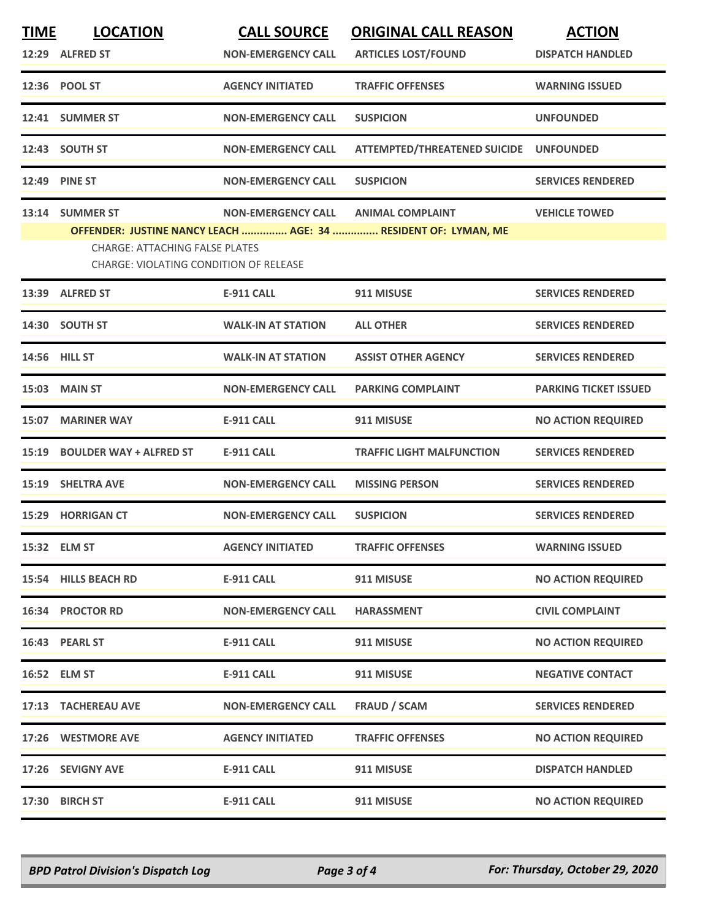| <b>TIME</b> | <b>LOCATION</b><br>12:29 ALFRED ST                                                                 | <b>CALL SOURCE</b><br><b>NON-EMERGENCY CALL</b> | <b>ORIGINAL CALL REASON</b><br><b>ARTICLES LOST/FOUND</b>                                 | <b>ACTION</b><br><b>DISPATCH HANDLED</b> |
|-------------|----------------------------------------------------------------------------------------------------|-------------------------------------------------|-------------------------------------------------------------------------------------------|------------------------------------------|
|             | 12:36 POOL ST                                                                                      | <b>AGENCY INITIATED</b>                         | <b>TRAFFIC OFFENSES</b>                                                                   | <b>WARNING ISSUED</b>                    |
|             | 12:41 SUMMER ST                                                                                    | <b>NON-EMERGENCY CALL</b>                       | <b>SUSPICION</b>                                                                          | <b>UNFOUNDED</b>                         |
|             | 12:43 SOUTH ST                                                                                     | <b>NON-EMERGENCY CALL</b>                       | ATTEMPTED/THREATENED SUICIDE UNFOUNDED                                                    |                                          |
|             | 12:49 PINE ST                                                                                      | <b>NON-EMERGENCY CALL</b>                       | <b>SUSPICION</b>                                                                          | <b>SERVICES RENDERED</b>                 |
|             | 13:14 SUMMER ST<br><b>CHARGE: ATTACHING FALSE PLATES</b><br>CHARGE: VIOLATING CONDITION OF RELEASE | <b>NON-EMERGENCY CALL</b>                       | <b>ANIMAL COMPLAINT</b><br>OFFENDER: JUSTINE NANCY LEACH  AGE: 34  RESIDENT OF: LYMAN, ME | <b>VEHICLE TOWED</b>                     |
|             | 13:39 ALFRED ST                                                                                    | <b>E-911 CALL</b>                               | 911 MISUSE                                                                                | <b>SERVICES RENDERED</b>                 |
|             | 14:30 SOUTH ST                                                                                     | <b>WALK-IN AT STATION</b>                       | <b>ALL OTHER</b>                                                                          | <b>SERVICES RENDERED</b>                 |
| 14:56       | <b>HILL ST</b>                                                                                     | <b>WALK-IN AT STATION</b>                       | <b>ASSIST OTHER AGENCY</b>                                                                | <b>SERVICES RENDERED</b>                 |
|             | <b>15:03 MAIN ST</b>                                                                               | <b>NON-EMERGENCY CALL</b>                       | <b>PARKING COMPLAINT</b>                                                                  | <b>PARKING TICKET ISSUED</b>             |
| 15:07       | <b>MARINER WAY</b>                                                                                 | E-911 CALL                                      | 911 MISUSE                                                                                | <b>NO ACTION REQUIRED</b>                |
| 15:19       | <b>BOULDER WAY + ALFRED ST</b>                                                                     | <b>E-911 CALL</b>                               | <b>TRAFFIC LIGHT MALFUNCTION</b>                                                          | <b>SERVICES RENDERED</b>                 |
| 15:19       | <b>SHELTRA AVE</b>                                                                                 | <b>NON-EMERGENCY CALL</b>                       | <b>MISSING PERSON</b>                                                                     | <b>SERVICES RENDERED</b>                 |
| 15:29       | <b>HORRIGAN CT</b>                                                                                 | <b>NON-EMERGENCY CALL</b>                       | <b>SUSPICION</b>                                                                          | <b>SERVICES RENDERED</b>                 |
|             | 15:32 ELM ST                                                                                       | <b>AGENCY INITIATED</b>                         | <b>TRAFFIC OFFENSES</b>                                                                   | <b>WARNING ISSUED</b>                    |
|             | 15:54 HILLS BEACH RD                                                                               | <b>E-911 CALL</b>                               | 911 MISUSE                                                                                | <b>NO ACTION REQUIRED</b>                |
|             | 16:34 PROCTOR RD                                                                                   | <b>NON-EMERGENCY CALL</b>                       | <b>HARASSMENT</b>                                                                         | <b>CIVIL COMPLAINT</b>                   |
|             | 16:43 PEARL ST                                                                                     | <b>E-911 CALL</b>                               | 911 MISUSE                                                                                | <b>NO ACTION REQUIRED</b>                |
|             | 16:52 ELM ST                                                                                       | <b>E-911 CALL</b>                               | 911 MISUSE                                                                                | <b>NEGATIVE CONTACT</b>                  |
|             | 17:13 TACHEREAU AVE                                                                                | <b>NON-EMERGENCY CALL</b>                       | FRAUD / SCAM                                                                              | <b>SERVICES RENDERED</b>                 |
|             | 17:26 WESTMORE AVE                                                                                 | <b>AGENCY INITIATED</b>                         | <b>TRAFFIC OFFENSES</b>                                                                   | <b>NO ACTION REQUIRED</b>                |
|             | 17:26 SEVIGNY AVE                                                                                  | <b>E-911 CALL</b>                               | 911 MISUSE                                                                                | <b>DISPATCH HANDLED</b>                  |
|             | 17:30 BIRCH ST                                                                                     | <b>E-911 CALL</b>                               | 911 MISUSE                                                                                | <b>NO ACTION REQUIRED</b>                |

*BPD Patrol Division's Dispatch Log Page 3 of 4 For: Thursday, October 29, 2020*